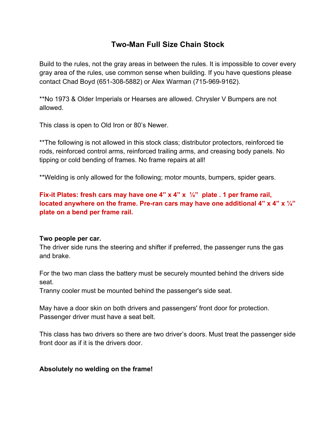# **Two-Man Full Size Chain Stock**

Build to the rules, not the gray areas in between the rules. It is impossible to cover every gray area of the rules, use common sense when building. If you have questions please contact Chad Boyd (651-308-5882) or Alex Warman (715-969-9162).

\*\*No 1973 & Older Imperials or Hearses are allowed. Chrysler V Bumpers are not allowed.

This class is open to Old Iron or 80's Newer.

\*\*The following is not allowed in this stock class; distributor protectors, reinforced tie rods, reinforced control arms, reinforced trailing arms, and creasing body panels. No tipping or cold bending of frames. No frame repairs at all!

\*\*Welding is only allowed for the following; motor mounts, bumpers, spider gears.

**Fix-it Plates: fresh cars may have one 4" x 4" x ¼" plate . 1 per frame rail, located anywhere on the frame. Pre-ran cars may have one additional 4" x 4" x ¼" plate on a bend per frame rail.** 

#### **Two people per car.**

The driver side runs the steering and shifter if preferred, the passenger runs the gas and brake.

For the two man class the battery must be securely mounted behind the drivers side seat.

Tranny cooler must be mounted behind the passenger's side seat.

May have a door skin on both drivers and passengers' front door for protection. Passenger driver must have a seat belt.

This class has two drivers so there are two driver's doors. Must treat the passenger side front door as if it is the drivers door.

### **Absolutely no welding on the frame!**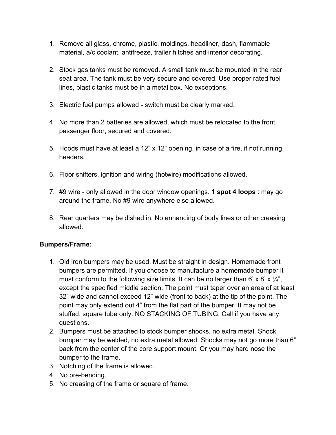- 1. Remove all glass, chrome, plastic, moldings, headliner, dash, flammable material, a/c coolant, antifreeze, trailer hitches and interior decorating.
- 2. Stock gas tanks must be removed. A small tank must be mounted in the rear seat area. The tank must be very secure and covered. Use proper rated fuel lines, plastic tanks must be in a metal box. No exceptions.
- 3. Electric fuel pumps allowed switch must be clearly marked.
- 4. No more than 2 batteries are allowed, which must be relocated to the front passenger floor, secured and covered.
- 5. Hoods must have at least a 12" x 12" opening, in case of a fire, if not running headers.
- 6. Floor shifters, ignition and wiring (hotwire) modifications allowed.
- 7. #9 wire only allowed in the door window openings. **1 spot 4 loops** : may go around the frame. No #9 wire anywhere else allowed.
- 8. Rear quarters may be dished in. No enhancing of body lines or other creasing allowed.

#### **Bumpers/Frame:**

- 1. Old iron bumpers may be used. Must be straight in design. Homemade front bumpers are permitted. If you choose to manufacture a homemade bumper it must conform to the following size limits. It can be no larger than 6' x 8' x  $\frac{1}{4}$ ", except the specified middle section. The point must taper over an area of at least 32" wide and cannot exceed 12" wide (front to back) at the tip of the point. The point may only extend out 4" from the flat part of the bumper. It may not be stuffed, square tube only. NO STACKING OF TUBING. Call if you have any questions.
- 2. Bumpers must be attached to stock bumper shocks, no extra metal. Shock bumper may be welded, no extra metal allowed. Shocks may not go more than 6" back from the center of the core support mount. Or you may hard nose the bumper to the frame.
- 3. Notching of the frame is allowed.
- 4. No pre-bending.
- 5. No creasing of the frame or square of frame.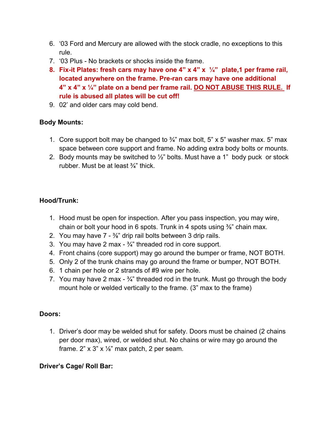- 6. '03 Ford and Mercury are allowed with the stock cradle, no exceptions to this rule.
- 7. '03 Plus No brackets or shocks inside the frame.
- **8. Fix-it Plates: fresh cars may have one 4" x 4" x ¼" plate,1 per frame rail, located anywhere on the frame. Pre-ran cars may have one additional 4" x 4" x ¼" plate on a bend per frame rail. DO NOT ABUSE THIS RULE. If rule is abused all plates will be cut off!**
- 9. 02' and older cars may cold bend.

### **Body Mounts:**

- 1. Core support bolt may be changed to  $\frac{3}{4}$ " max bolt, 5" x 5" washer max. 5" max space between core support and frame. No adding extra body bolts or mounts.
- 2. Body mounts may be switched to  $\frac{1}{2}$ " bolts. Must have a 1" body puck or stock rubber. Must be at least ¾" thick.

### **Hood/Trunk:**

- 1. Hood must be open for inspection. After you pass inspection, you may wire, chain or bolt your hood in 6 spots. Trunk in 4 spots using  $\frac{3}{8}$ " chain max.
- 2. You may have  $7 \frac{3}{8}$ " drip rail bolts between 3 drip rails.
- 3. You may have 2 max  $-3/4$ " threaded rod in core support.
- 4. Front chains (core support) may go around the bumper or frame, NOT BOTH.
- 5. Only 2 of the trunk chains may go around the frame or bumper, NOT BOTH.
- 6. 1 chain per hole or 2 strands of #9 wire per hole.
- 7. You may have 2 max  $-3/4$ " threaded rod in the trunk. Must go through the body mount hole or welded vertically to the frame. (3" max to the frame)

### **Doors:**

1. Driver's door may be welded shut for safety. Doors must be chained (2 chains per door max), wired, or welded shut. No chains or wire may go around the frame.  $2$ " x  $3$ " x  $\frac{1}{8}$ " max patch, 2 per seam.

### **Driver's Cage/ Roll Bar:**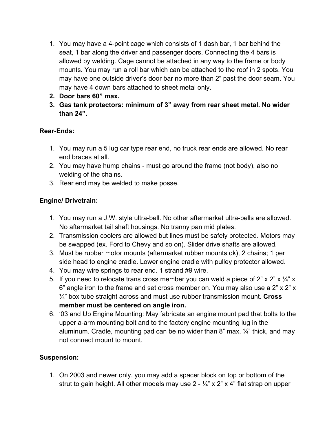- 1. You may have a 4-point cage which consists of 1 dash bar, 1 bar behind the seat, 1 bar along the driver and passenger doors. Connecting the 4 bars is allowed by welding. Cage cannot be attached in any way to the frame or body mounts. You may run a roll bar which can be attached to the roof in 2 spots. You may have one outside driver's door bar no more than 2" past the door seam. You may have 4 down bars attached to sheet metal only.
- **2. Door bars 60" max.**
- **3. Gas tank protectors: minimum of 3" away from rear sheet metal. No wider than 24".**

## **Rear-Ends:**

- 1. You may run a 5 lug car type rear end, no truck rear ends are allowed. No rear end braces at all.
- 2. You may have hump chains must go around the frame (not body), also no welding of the chains.
- 3. Rear end may be welded to make posse.

# **Engine/ Drivetrain:**

- 1. You may run a J.W. style ultra-bell. No other aftermarket ultra-bells are allowed. No aftermarket tail shaft housings. No tranny pan mid plates.
- 2. Transmission coolers are allowed but lines must be safely protected. Motors may be swapped (ex. Ford to Chevy and so on). Slider drive shafts are allowed.
- 3. Must be rubber motor mounts (aftermarket rubber mounts ok), 2 chains; 1 per side head to engine cradle. Lower engine cradle with pulley protector allowed.
- 4. You may wire springs to rear end. 1 strand #9 wire.
- 5. If you need to relocate trans cross member you can weld a piece of 2" x 2" x  $\frac{1}{4}$ " x 6" angle iron to the frame and set cross member on. You may also use a 2" x 2" x ¼" box tube straight across and must use rubber transmission mount. **Cross member must be centered on angle iron.**
- 6. '03 and Up Engine Mounting: May fabricate an engine mount pad that bolts to the upper a-arm mounting bolt and to the factory engine mounting lug in the aluminum. Cradle, mounting pad can be no wider than 8" max,  $\frac{1}{4}$ " thick, and may not connect mount to mount.

# **Suspension:**

1. On 2003 and newer only, you may add a spacer block on top or bottom of the strut to gain height. All other models may use  $2 - \frac{1}{4}$  x 2" x 4" flat strap on upper